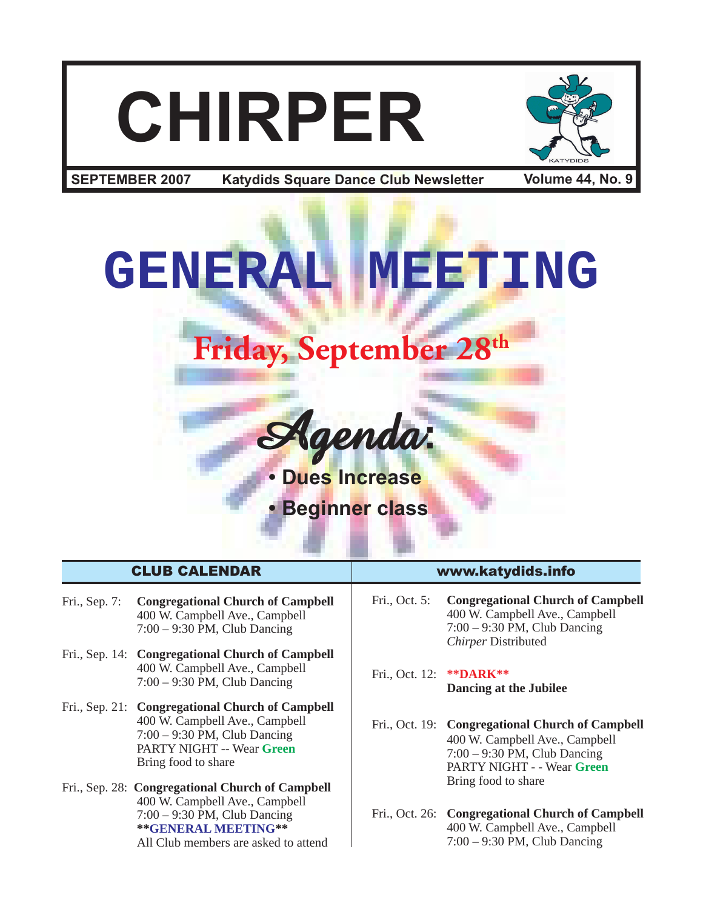# **CHIRPER**



**Katydids Square Dance Club Newsletter SEPTEMBER 2007 Volume 44, No. 9**



- Fri., Sep. 7: **Congregational Church of Campbell** 400 W. Campbell Ave., Campbell 7:00 – 9:30 PM, Club Dancing
- Fri., Sep. 14: **Congregational Church of Campbell** 400 W. Campbell Ave., Campbell 7:00 – 9:30 PM, Club Dancing
- Fri., Sep. 21: **Congregational Church of Campbell** 400 W. Campbell Ave., Campbell 7:00 – 9:30 PM, Club Dancing PARTY NIGHT -- Wear **Green** Bring food to share
- Fri., Sep. 28: **Congregational Church of Campbell** 400 W. Campbell Ave., Campbell 7:00 – 9:30 PM, Club Dancing **\*\*GENERAL MEETING\*\*** All Club members are asked to attend

#### CLUB CALENDAR www.katydids.info

- Fri., Oct. 5: **Congregational Church of Campbell** 400 W. Campbell Ave., Campbell 7:00 – 9:30 PM, Club Dancing *Chirper* Distributed
- Fri., Oct. 12: **\*\*DARK\*\* Dancing at the Jubilee**
- Fri., Oct. 19: **Congregational Church of Campbell** 400 W. Campbell Ave., Campbell 7:00 – 9:30 PM, Club Dancing PARTY NIGHT - - Wear **Green** Bring food to share
- Fri., Oct. 26: **Congregational Church of Campbell** 400 W. Campbell Ave., Campbell 7:00 – 9:30 PM, Club Dancing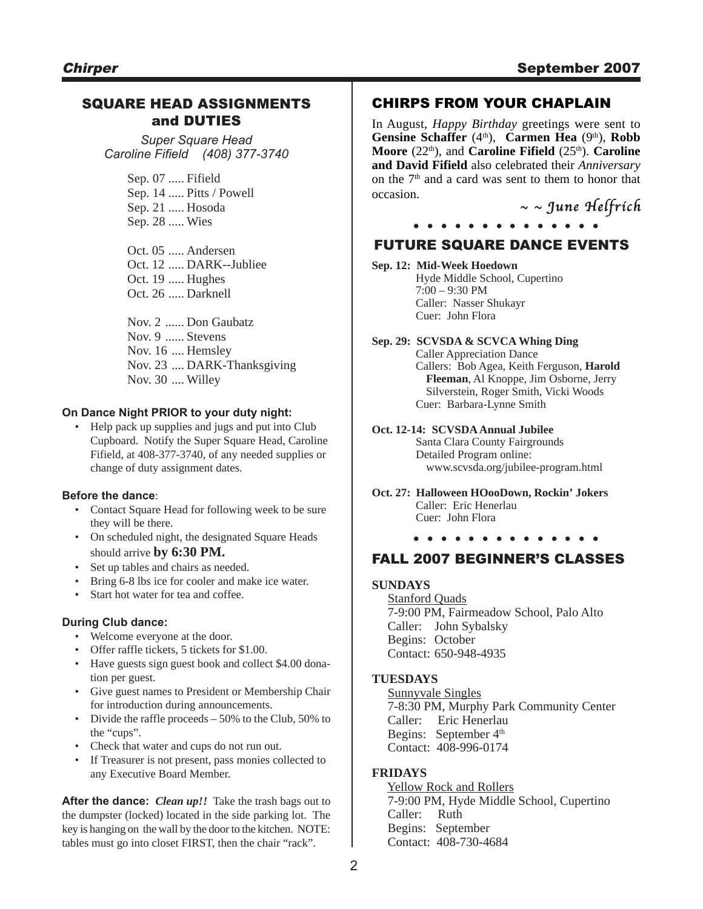#### SQUARE HEAD ASSIGNMENTS and DUTIES

*Super Square Head Caroline Fifield (408) 377-3740*

> Sep. 07 ..... Fifield Sep. 14 ..... Pitts / Powell Sep. 21 ..... Hosoda Sep. 28 ..... Wies

Oct. 05 ..... Andersen Oct. 12 ..... DARK--Jubliee Oct. 19 ..... Hughes Oct. 26 ..... Darknell

Nov. 2 ...... Don Gaubatz Nov. 9 ...... Stevens Nov. 16 .... Hemsley Nov. 23 .... DARK-Thanksgiving Nov. 30 .... Willey

#### **On Dance Night PRIOR to your duty night:**

• Help pack up supplies and jugs and put into Club Cupboard. Notify the Super Square Head, Caroline Fifield, at 408-377-3740, of any needed supplies or change of duty assignment dates.

#### **Before the dance**:

- Contact Square Head for following week to be sure they will be there.
- On scheduled night, the designated Square Heads should arrive **by 6:30 PM.**
- Set up tables and chairs as needed.
- Bring 6-8 lbs ice for cooler and make ice water.
- Start hot water for tea and coffee.

#### **During Club dance:**

- Welcome everyone at the door.
- Offer raffle tickets, 5 tickets for \$1.00.
- Have guests sign guest book and collect \$4.00 donation per guest.
- Give guest names to President or Membership Chair for introduction during announcements.
- Divide the raffle proceeds 50% to the Club, 50% to the "cups".
- Check that water and cups do not run out.
- If Treasurer is not present, pass monies collected to any Executive Board Member.

**After the dance:** *Clean up!!* Take the trash bags out to the dumpster (locked) located in the side parking lot. The key is hanging on the wall by the door to the kitchen. NOTE: tables must go into closet FIRST, then the chair "rack".

#### CHIRPS FROM YOUR CHAPLAIN

In August, *Happy Birthday* greetings were sent to Gensine Schaffer<sup>(4th</sup>), Carmen Hea<sup>(9th</sup>), Robb Moore (22<sup>th</sup>), and **Caroline Fifield** (25<sup>th</sup>). **Caroline and David Fifield** also celebrated their *Anniversary* on the  $7<sup>th</sup>$  and a card was sent to them to honor that occasion.

June Helfrich **. . . . . . . . . . . . . .**

#### FUTURE SQUARE DANCE EVENTS

#### **Sep. 12: Mid-Week Hoedown**

Hyde Middle School, Cupertino 7:00 – 9:30 PM Caller: Nasser Shukayr Cuer: John Flora

**Sep. 29: SCVSDA & SCVCA Whing Ding** Caller Appreciation Dance

Callers: Bob Agea, Keith Ferguson, **Harold Fleeman**, Al Knoppe, Jim Osborne, Jerry Silverstein, Roger Smith, Vicki Woods Cuer: Barbara-Lynne Smith

#### **Oct. 12-14: SCVSDA Annual Jubilee** Santa Clara County Fairgrounds Detailed Program online: www.scvsda.org/jubilee-program.html

**Oct. 27: Halloween HOooDown, Rockin' Jokers** Caller: Eric Henerlau Cuer: John Flora

**. . . . . . . . . . . . . .**

#### FALL 2007 BEGINNER'S CLASSES

#### **SUNDAYS**

 Stanford Quads 7-9:00 PM, Fairmeadow School, Palo Alto Caller: John Sybalsky Begins: October Contact: 650-948-4935

#### **TUESDAYS**

 Sunnyvale Singles 7-8:30 PM, Murphy Park Community Center Caller: Eric Henerlau Begins: September 4<sup>th</sup> Contact: 408-996-0174

#### **FRIDAYS**

 Yellow Rock and Rollers 7-9:00 PM, Hyde Middle School, Cupertino Caller: Ruth Begins: September Contact: 408-730-4684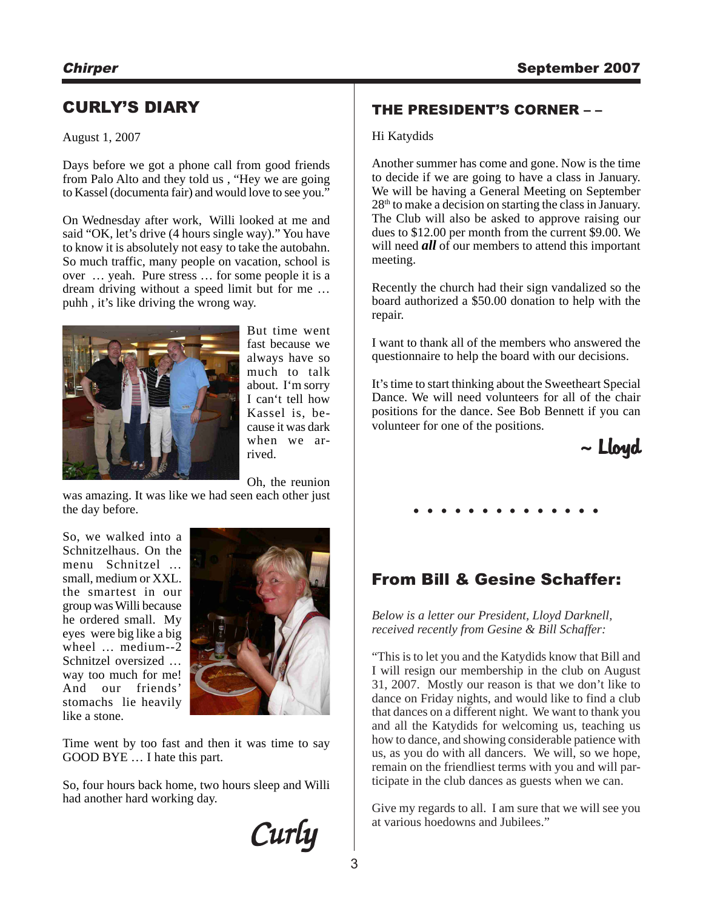### CURLY'S DIARY

#### August 1, 2007

Days before we got a phone call from good friends from Palo Alto and they told us , "Hey we are going to Kassel (documenta fair) and would love to see you."

On Wednesday after work, Willi looked at me and said "OK, let's drive (4 hours single way)." You have to know it is absolutely not easy to take the autobahn. So much traffic, many people on vacation, school is over … yeah. Pure stress … for some people it is a dream driving without a speed limit but for me … puhh , it's like driving the wrong way.



But time went fast because we always have so much to talk about. I'm sorry I can't tell how Kassel is, because it was dark when we arrived.

Oh, the reunion

was amazing. It was like we had seen each other just the day before.

So, we walked into a Schnitzelhaus. On the menu Schnitzel … small, medium or XXL. the smartest in our group was Willi because he ordered small. My eyes were big like a big wheel … medium--2 Schnitzel oversized … way too much for me! And our friends' stomachs lie heavily like a stone.



Time went by too fast and then it was time to say GOOD BYE … I hate this part.

So, four hours back home, two hours sleep and Willi had another hard working day.

Curly

#### THE PRESIDENT'S CORNER – –

#### Hi Katydids

Another summer has come and gone. Now is the time to decide if we are going to have a class in January. We will be having a General Meeting on September 28th to make a decision on starting the class in January. The Club will also be asked to approve raising our dues to \$12.00 per month from the current \$9.00. We will need *all* of our members to attend this important meeting.

Recently the church had their sign vandalized so the board authorized a \$50.00 donation to help with the repair.

I want to thank all of the members who answered the questionnaire to help the board with our decisions.

It's time to start thinking about the Sweetheart Special Dance. We will need volunteers for all of the chair positions for the dance. See Bob Bennett if you can volunteer for one of the positions.



## **. . . . . . . . . . . . . .**

### From Bill & Gesine Schaffer:

*Below is a letter our President, Lloyd Darknell, received recently from Gesine & Bill Schaffer:*

"This is to let you and the Katydids know that Bill and I will resign our membership in the club on August 31, 2007. Mostly our reason is that we don't like to dance on Friday nights, and would like to find a club that dances on a different night. We want to thank you and all the Katydids for welcoming us, teaching us how to dance, and showing considerable patience with us, as you do with all dancers. We will, so we hope, remain on the friendliest terms with you and will participate in the club dances as guests when we can.

Give my regards to all. I am sure that we will see you at various hoedowns and Jubilees."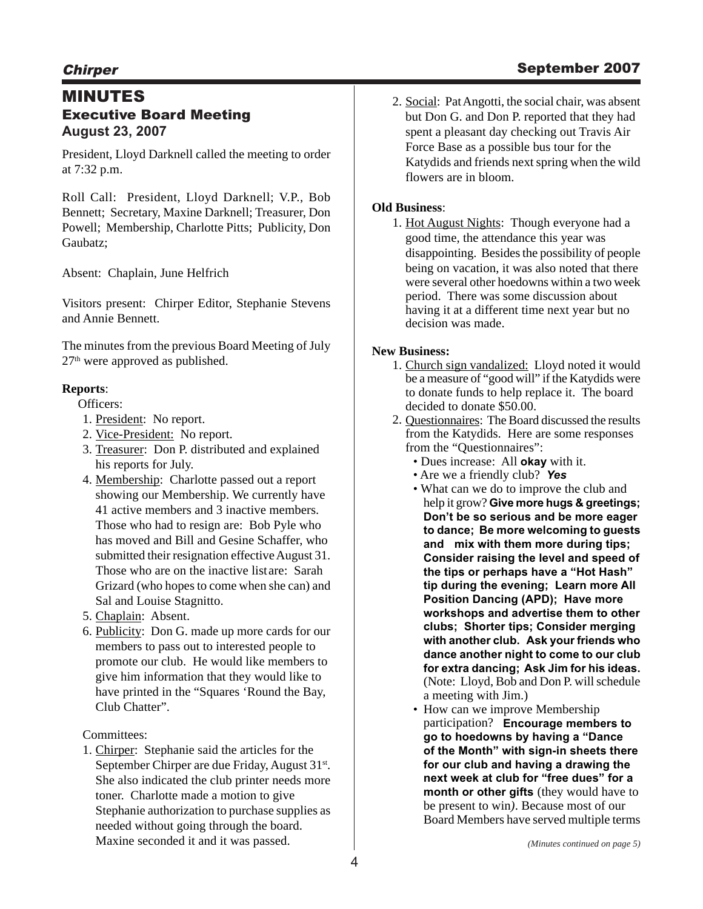#### MINUTES Executive Board Meeting **August 23, 2007**

President, Lloyd Darknell called the meeting to order at 7:32 p.m.

Roll Call: President, Lloyd Darknell; V.P., Bob Bennett; Secretary, Maxine Darknell; Treasurer, Don Powell; Membership, Charlotte Pitts; Publicity, Don Gaubatz;

Absent: Chaplain, June Helfrich

Visitors present: Chirper Editor, Stephanie Stevens and Annie Bennett.

The minutes from the previous Board Meeting of July 27th were approved as published.

#### **Reports**:

Officers:

- 1. President: No report.
- 2. Vice-President: No report.
- 3. Treasurer: Don P. distributed and explained his reports for July.
- 4. Membership: Charlotte passed out a report showing our Membership. We currently have 41 active members and 3 inactive members. Those who had to resign are: Bob Pyle who has moved and Bill and Gesine Schaffer, who submitted their resignation effective August 31. Those who are on the inactive listare: Sarah Grizard (who hopes to come when she can) and Sal and Louise Stagnitto.
- 5. Chaplain: Absent.
- 6. Publicity: Don G. made up more cards for our members to pass out to interested people to promote our club. He would like members to give him information that they would like to have printed in the "Squares 'Round the Bay, Club Chatter".

Committees:

1. Chirper: Stephanie said the articles for the September Chirper are due Friday, August 31<sup>st</sup>. She also indicated the club printer needs more toner. Charlotte made a motion to give Stephanie authorization to purchase supplies as needed without going through the board. Maxine seconded it and it was passed.

2. Social: Pat Angotti, the social chair, was absent but Don G. and Don P. reported that they had spent a pleasant day checking out Travis Air Force Base as a possible bus tour for the Katydids and friends next spring when the wild flowers are in bloom.

#### **Old Business**:

1. Hot August Nights: Though everyone had a good time, the attendance this year was disappointing. Besides the possibility of people being on vacation, it was also noted that there were several other hoedowns within a two week period. There was some discussion about having it at a different time next year but no decision was made.

#### **New Business:**

- 1. Church sign vandalized: Lloyd noted it would be a measure of "good will" if the Katydids were to donate funds to help replace it. The board decided to donate \$50.00.
- 2. Questionnaires: The Board discussed the results from the Katydids. Here are some responses from the "Questionnaires":
	- Dues increase: All **okay** with it.
	- Are we a friendly club? *Yes*
	- What can we do to improve the club and help it grow? **Give more hugs & greetings; Don't be so serious and be more eager to dance; Be more welcoming to guests and mix with them more during tips; Consider raising the level and speed of the tips or perhaps have a "Hot Hash" tip during the evening; Learn more All Position Dancing (APD); Have more workshops and advertise them to other clubs; Shorter tips; Consider merging with another club. Ask your friends who dance another night to come to our club for extra dancing; Ask Jim for his ideas.** (Note: Lloyd, Bob and Don P. will schedule a meeting with Jim.)
	- How can we improve Membership participation? **Encourage members to go to hoedowns by having a "Dance of the Month" with sign-in sheets there for our club and having a drawing the next week at club for "free dues" for a month or other gifts** (they would have to be present to win*)*. Because most of our Board Members have served multiple terms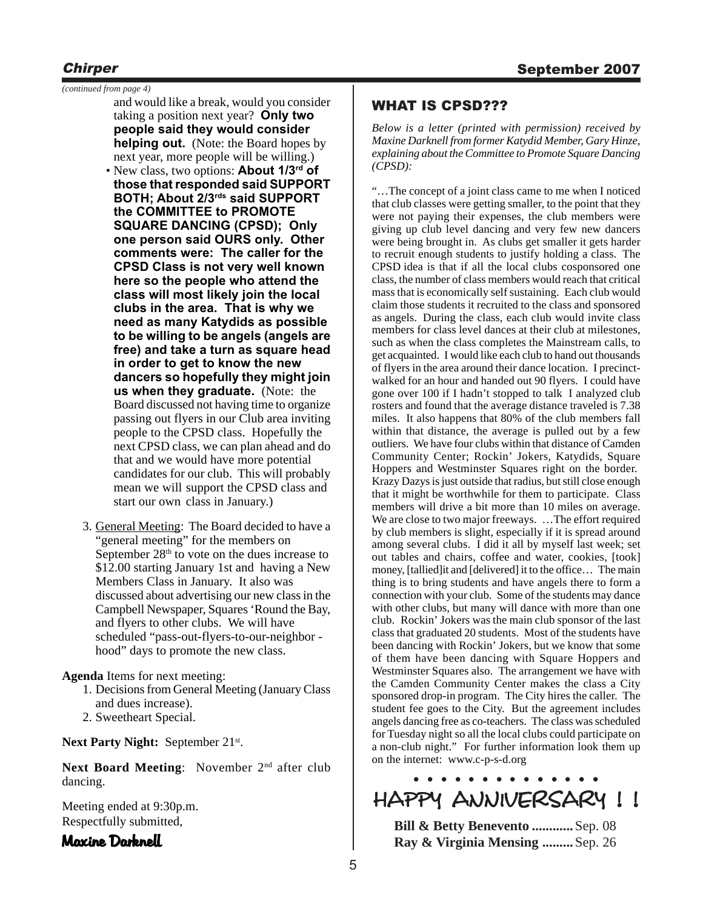*(continued from page 4)*

- and would like a break, would you consider taking a position next year? **Only two people said they would consider helping out.** (Note: the Board hopes by next year, more people will be willing.)
- New class, two options: **About 1/3rd of those that responded said SUPPORT BOTH; About 2/3rds said SUPPORT the COMMITTEE to PROMOTE SQUARE DANCING (CPSD); Only one person said OURS only. Other comments were: The caller for the CPSD Class is not very well known here so the people who attend the class will most likely join the local clubs in the area. That is why we need as many Katydids as possible to be willing to be angels (angels are free) and take a turn as square head in order to get to know the new dancers so hopefully they might join us when they graduate.** (Note: the Board discussed not having time to organize passing out flyers in our Club area inviting people to the CPSD class. Hopefully the next CPSD class, we can plan ahead and do that and we would have more potential candidates for our club. This will probably mean we will support the CPSD class and start our own class in January.)
- 3. General Meeting: The Board decided to have a "general meeting" for the members on September  $28<sup>th</sup>$  to vote on the dues increase to \$12.00 starting January 1st and having a New Members Class in January. It also was discussed about advertising our new class in the Campbell Newspaper, Squares 'Round the Bay, and flyers to other clubs. We will have scheduled "pass-out-flyers-to-our-neighbor hood" days to promote the new class.

**Agenda** Items for next meeting:

- 1. Decisions from General Meeting (January Class and dues increase).
- 2. Sweetheart Special.

Next Party Night: September 21<sup>st</sup>.

Next Board Meeting: November 2<sup>nd</sup> after club dancing.

Meeting ended at 9:30p.m. Respectfully submitted,

#### Maxine Darknell

#### WHAT IS CPSD???

*Below is a letter (printed with permission) received by Maxine Darknell from former Katydid Member, Gary Hinze, explaining about the Committee to Promote Square Dancing (CPSD):*

"…The concept of a joint class came to me when I noticed that club classes were getting smaller, to the point that they were not paying their expenses, the club members were giving up club level dancing and very few new dancers were being brought in. As clubs get smaller it gets harder to recruit enough students to justify holding a class. The CPSD idea is that if all the local clubs cosponsored one class, the number of class members would reach that critical mass that is economically self sustaining. Each club would claim those students it recruited to the class and sponsored as angels. During the class, each club would invite class members for class level dances at their club at milestones, such as when the class completes the Mainstream calls, to get acquainted. I would like each club to hand out thousands of flyers in the area around their dance location. I precinctwalked for an hour and handed out 90 flyers. I could have gone over 100 if I hadn't stopped to talk I analyzed club rosters and found that the average distance traveled is 7.38 miles. It also happens that 80% of the club members fall within that distance, the average is pulled out by a few outliers. We have four clubs within that distance of Camden Community Center; Rockin' Jokers, Katydids, Square Hoppers and Westminster Squares right on the border. Krazy Dazys is just outside that radius, but still close enough that it might be worthwhile for them to participate. Class members will drive a bit more than 10 miles on average. We are close to two major freeways. …The effort required by club members is slight, especially if it is spread around among several clubs. I did it all by myself last week; set out tables and chairs, coffee and water, cookies, [took] money, [tallied]it and [delivered] it to the office… The main thing is to bring students and have angels there to form a connection with your club. Some of the students may dance with other clubs, but many will dance with more than one club. Rockin' Jokers was the main club sponsor of the last class that graduated 20 students. Most of the students have been dancing with Rockin' Jokers, but we know that some of them have been dancing with Square Hoppers and Westminster Squares also. The arrangement we have with the Camden Community Center makes the class a City sponsored drop-in program. The City hires the caller. The student fee goes to the City. But the agreement includes angels dancing free as co-teachers. The class was scheduled for Tuesday night so all the local clubs could participate on a non-club night." For further information look them up on the internet: www.c-p-s-d.org

## **. . . . . . . . . . . . . .** HAPPY ANNIVERSARY ! ! HAPPY ANNIVERSARY ! !HAPPY ANNIVERSARY ! !

**Bill & Betty Benevento ............**Sep. 08 **Ray & Virginia Mensing .........**Sep. 26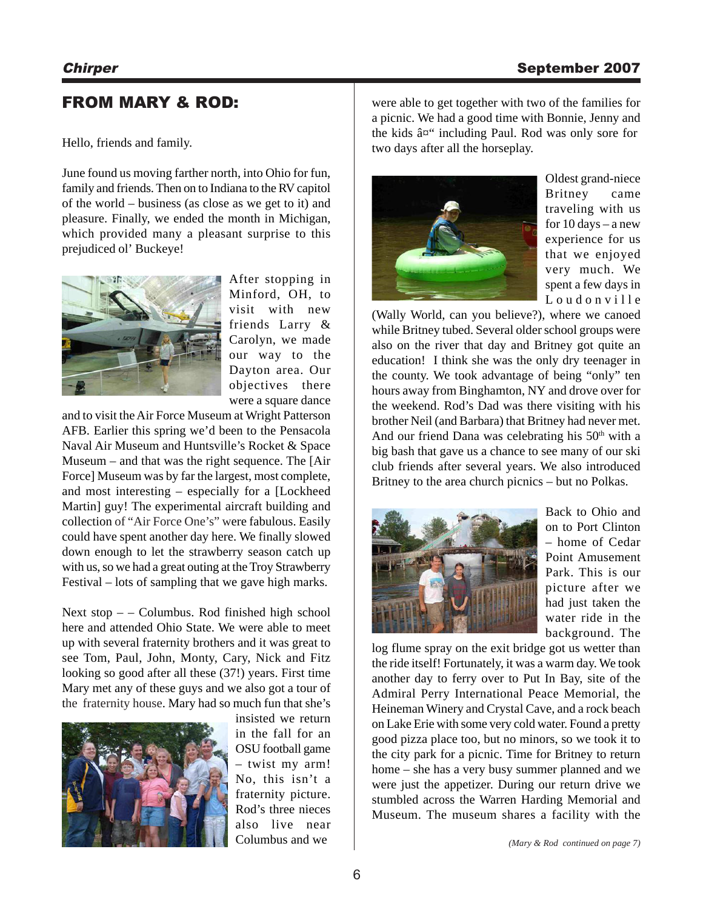#### FROM MARY & ROD:

Hello, friends and family.

June found us moving farther north, into Ohio for fun, family and friends. Then on to Indiana to the RV capitol of the world – business (as close as we get to it) and pleasure. Finally, we ended the month in Michigan, which provided many a pleasant surprise to this prejudiced ol' Buckeye!



After stopping in Minford, OH, to visit with new friends Larry & Carolyn, we made our way to the Dayton area. Our objectives there were a square dance

and to visit the Air Force Museum at Wright Patterson AFB. Earlier this spring we'd been to the Pensacola Naval Air Museum and Huntsville's Rocket & Space Museum – and that was the right sequence. The [Air Force] Museum was by far the largest, most complete, and most interesting – especially for a [Lockheed Martin] guy! The experimental aircraft building and collection of "Air Force One's" were fabulous. Easily could have spent another day here. We finally slowed down enough to let the strawberry season catch up with us, so we had a great outing at the Troy Strawberry Festival – lots of sampling that we gave high marks.

Next stop – – Columbus. Rod finished high school here and attended Ohio State. We were able to meet up with several fraternity brothers and it was great to see Tom, Paul, John, Monty, Cary, Nick and Fitz looking so good after all these (37!) years. First time Mary met any of these guys and we also got a tour of the fraternity house. Mary had so much fun that she's



insisted we return in the fall for an OSU football game – twist my arm! No, this isn't a fraternity picture. Rod's three nieces also live near Columbus and we

were able to get together with two of the families for a picnic. We had a good time with Bonnie, Jenny and the kids  $âx''$  including Paul. Rod was only sore for two days after all the horseplay.



Oldest grand-niece Britney came traveling with us for 10 days – a new experience for us that we enjoyed very much. We spent a few days in Loudonville

(Wally World, can you believe?), where we canoed while Britney tubed. Several older school groups were also on the river that day and Britney got quite an education! I think she was the only dry teenager in the county. We took advantage of being "only" ten hours away from Binghamton, NY and drove over for the weekend. Rod's Dad was there visiting with his brother Neil (and Barbara) that Britney had never met. And our friend Dana was celebrating his  $50<sup>th</sup>$  with a big bash that gave us a chance to see many of our ski club friends after several years. We also introduced Britney to the area church picnics – but no Polkas.



Back to Ohio and on to Port Clinton – home of Cedar Point Amusement Park. This is our picture after we had just taken the water ride in the background. The

log flume spray on the exit bridge got us wetter than the ride itself! Fortunately, it was a warm day. We took another day to ferry over to Put In Bay, site of the Admiral Perry International Peace Memorial, the Heineman Winery and Crystal Cave, and a rock beach on Lake Erie with some very cold water. Found a pretty good pizza place too, but no minors, so we took it to the city park for a picnic. Time for Britney to return home – she has a very busy summer planned and we were just the appetizer. During our return drive we stumbled across the Warren Harding Memorial and Museum. The museum shares a facility with the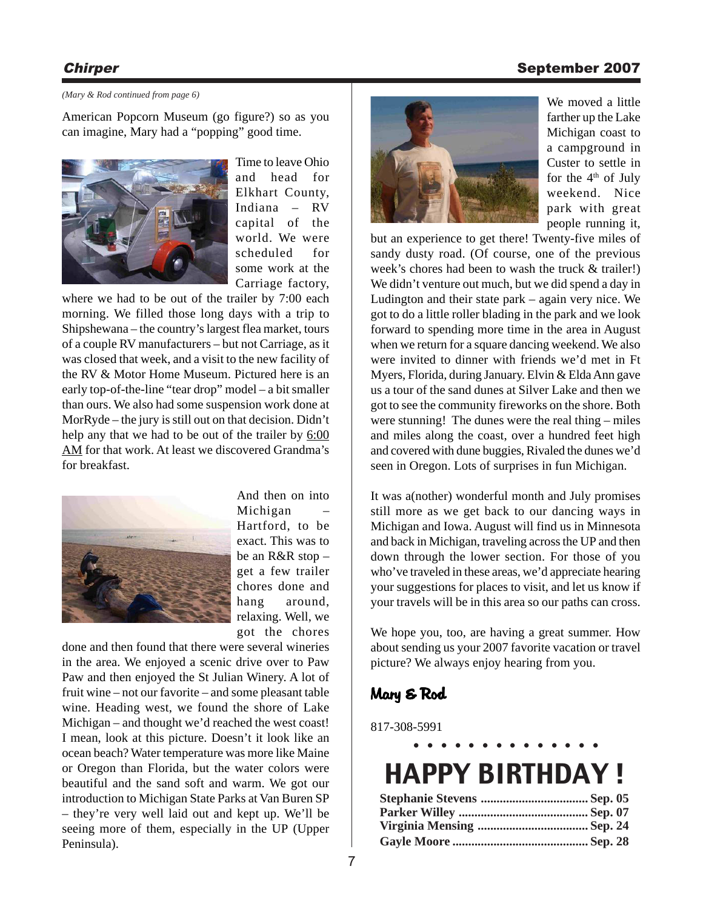#### Chirper Chirper September 2007

#### *(Mary & Rod continued from page 6)*

American Popcorn Museum (go figure?) so as you can imagine, Mary had a "popping" good time.



Time to leave Ohio and head for Elkhart County, Indiana – RV capital of the world. We were scheduled for some work at the Carriage factory,

where we had to be out of the trailer by 7:00 each morning. We filled those long days with a trip to Shipshewana – the country's largest flea market, tours of a couple RV manufacturers – but not Carriage, as it was closed that week, and a visit to the new facility of the RV & Motor Home Museum. Pictured here is an early top-of-the-line "tear drop" model – a bit smaller than ours. We also had some suspension work done at MorRyde – the jury is still out on that decision. Didn't help any that we had to be out of the trailer by  $6:00$ AM for that work. At least we discovered Grandma's for breakfast.



And then on into Michigan – Hartford, to be exact. This was to be an R&R stop – get a few trailer chores done and hang around, relaxing. Well, we got the chores

done and then found that there were several wineries in the area. We enjoyed a scenic drive over to Paw Paw and then enjoyed the St Julian Winery. A lot of fruit wine – not our favorite – and some pleasant table wine. Heading west, we found the shore of Lake Michigan – and thought we'd reached the west coast! I mean, look at this picture. Doesn't it look like an ocean beach? Water temperature was more like Maine or Oregon than Florida, but the water colors were beautiful and the sand soft and warm. We got our introduction to Michigan State Parks at Van Buren SP – they're very well laid out and kept up. We'll be seeing more of them, especially in the UP (Upper Peninsula).



We moved a little farther up the Lake Michigan coast to a campground in Custer to settle in for the  $4<sup>th</sup>$  of July weekend. Nice park with great people running it,

but an experience to get there! Twenty-five miles of sandy dusty road. (Of course, one of the previous week's chores had been to wash the truck & trailer!) We didn't venture out much, but we did spend a day in Ludington and their state park – again very nice. We got to do a little roller blading in the park and we look forward to spending more time in the area in August when we return for a square dancing weekend. We also were invited to dinner with friends we'd met in Ft Myers, Florida, during January. Elvin & Elda Ann gave us a tour of the sand dunes at Silver Lake and then we got to see the community fireworks on the shore. Both were stunning! The dunes were the real thing – miles and miles along the coast, over a hundred feet high and covered with dune buggies, Rivaled the dunes we'd seen in Oregon. Lots of surprises in fun Michigan.

It was a(nother) wonderful month and July promises still more as we get back to our dancing ways in Michigan and Iowa. August will find us in Minnesota and back in Michigan, traveling across the UP and then down through the lower section. For those of you who've traveled in these areas, we'd appreciate hearing your suggestions for places to visit, and let us know if your travels will be in this area so our paths can cross.

We hope you, too, are having a great summer. How about sending us your 2007 favorite vacation or travel picture? We always enjoy hearing from you.

#### Mary & Rod

817-308-5991

| -900-9991 |  |  |  |  |  |  |   |  |
|-----------|--|--|--|--|--|--|---|--|
|           |  |  |  |  |  |  | . |  |

## HAPPY BIRTHDAY !